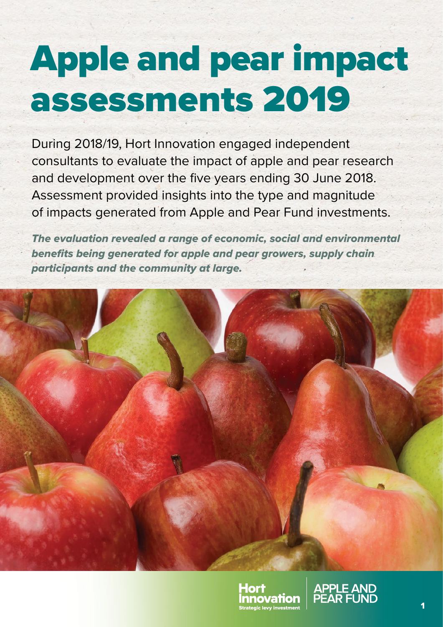# Apple and pear impact assessments 2019

During 2018/19, Hort Innovation engaged independent consultants to evaluate the impact of apple and pear research and development over the five years ending 30 June 2018. Assessment provided insights into the type and magnitude of impacts generated from Apple and Pear Fund investments.

*The evaluation revealed a range of economic, social and environmental benefits being generated for apple and pear growers, supply chain participants and the community at large.*





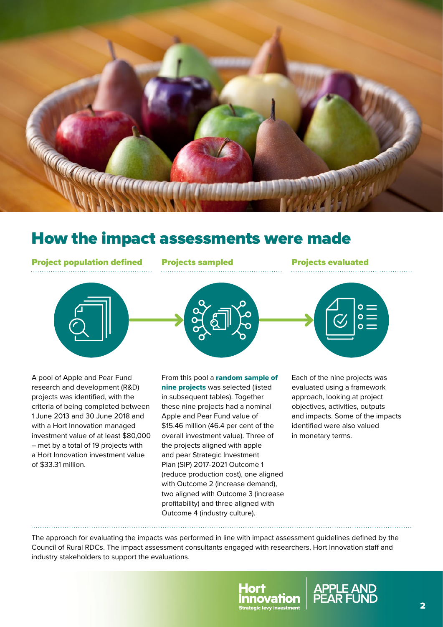

## How the impact assessments were made

Project population defined Projects sampled Projects evaluated





From this pool a random sample of nine projects was selected (listed in subsequent tables). Together these nine projects had a nominal Apple and Pear Fund value of \$15.46 million (46.4 per cent of the overall investment value). Three of the projects aligned with apple and pear Strategic Investment Plan (SIP) 2017‑2021 Outcome 1 (reduce production cost), one aligned with Outcome 2 (increase demand), two aligned with Outcome 3 (increase profitability) and three aligned with Outcome 4 (industry culture).



A pool of Apple and Pear Fund research and development (R&D) projects was identified, with the criteria of being completed between 1 June 2013 and 30 June 2018 and with a Hort Innovation managed investment value of at least \$80,000 – met by a total of 19 projects with a Hort Innovation investment value of \$33.31 million.

Each of the nine projects was evaluated using a framework approach, looking at project objectives, activities, outputs and impacts. Some of the impacts identified were also valued in monetary terms.

The approach for evaluating the impacts was performed in line with impact assessment guidelines defined by the Council of Rural RDCs. The impact assessment consultants engaged with researchers, Hort Innovation staff and industry stakeholders to support the evaluations.



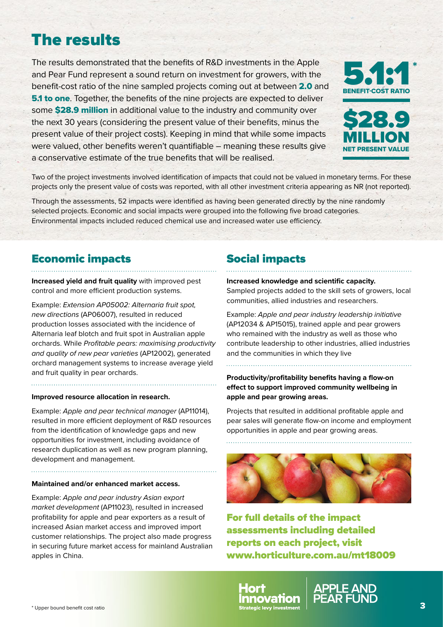# The results

The results demonstrated that the benefits of R&D investments in the Apple and Pear Fund represent a sound return on investment for growers, with the benefit-cost ratio of the nine sampled projects coming out at between 2.0 and **5.1 to one.** Together, the benefits of the nine projects are expected to deliver some \$28.9 million in additional value to the industry and community over the next 30 years (considering the present value of their benefits, minus the present value of their project costs). Keeping in mind that while some impacts were valued, other benefits weren't quantifiable – meaning these results give a conservative estimate of the true benefits that will be realised.





Two of the project investments involved identification of impacts that could not be valued in monetary terms. For these projects only the present value of costs was reported, with all other investment criteria appearing as NR (not reported).

Through the assessments, 52 impacts were identified as having been generated directly by the nine randomly selected projects. Economic and social impacts were grouped into the following five broad categories. Environmental impacts included reduced chemical use and increased water use efficiency.

### Economic impacts

**Increased yield and fruit quality** with improved pest control and more efficient production systems.

Example: *Extension AP05002: Alternaria fruit spot, new directions* (AP06007), resulted in reduced production losses associated with the incidence of Alternaria leaf blotch and fruit spot in Australian apple orchards. While *Profitable pears: maximising productivity and quality of new pear varieties* (AP12002), generated orchard management systems to increase average yield and fruit quality in pear orchards.

#### **Improved resource allocation in research.**

Example: *Apple and pear technical manager* (AP11014), resulted in more efficient deployment of R&D resources from the identification of knowledge gaps and new opportunities for investment, including avoidance of research duplication as well as new program planning, development and management.

#### **Maintained and/or enhanced market access.**

Example: *Apple and pear industry Asian export market development* (AP11023), resulted in increased profitability for apple and pear exporters as a result of increased Asian market access and improved import customer relationships. The project also made progress in securing future market access for mainland Australian apples in China.

## Social impacts

#### **Increased knowledge and scientific capacity.**

Sampled projects added to the skill sets of growers, local communities, allied industries and researchers.

Example: *Apple and pear industry leadership initiative*  (AP12034 & AP15015), trained apple and pear growers who remained with the industry as well as those who contribute leadership to other industries, allied industries and the communities in which they live

**Productivity/profitability benefits having a flow-on effect to support improved community wellbeing in apple and pear growing areas.**

Projects that resulted in additional profitable apple and pear sales will generate flow-on income and employment opportunities in apple and pear growing areas.



For full details of the impact assessments including detailed reports on each project, visit [www.horticulture.com.au/mt18009](http://www.horticulture.com.au/mt18009)